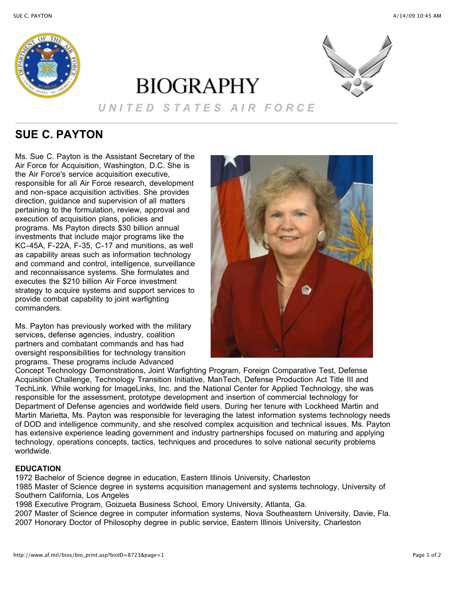

# **BIOGRAPHY**



## *U N I T E D S T A T E S A I R F O R C E*

# **SUE C. PAYTON**

Ms. Sue C. Payton is the Assistant Secretary of the Air Force for Acquisition, Washington, D.C. She is the Air Force's service acquisition executive, responsible for all Air Force research, development and non-space acquisition activities. She provides direction, guidance and supervision of all matters pertaining to the formulation, review, approval and execution of acquisition plans, policies and programs. Ms Payton directs \$30 billion annual investments that include major programs like the KC-45A, F-22A, F-35, C-17 and munitions, as well as capability areas such as information technology and command and control, intelligence, surveillance and reconnaissance systems. She formulates and executes the \$210 billion Air Force investment strategy to acquire systems and support services to provide combat capability to joint warfighting commanders.

Ms. Payton has previously worked with the military services, defense agencies, industry, coalition partners and combatant commands and has had oversight responsibilities for technology transition programs. These programs include Advanced



Concept Technology Demonstrations, Joint Warfighting Program, Foreign Comparative Test, Defense Acquisition Challenge, Technology Transition Initiative, ManTech, Defense Production Act Title III and TechLink. While working for ImageLinks, Inc. and the National Center for Applied Technology, she was responsible for the assessment, prototype development and insertion of commercial technology for Department of Defense agencies and worldwide field users. During her tenure with Lockheed Martin and Martin Marietta, Ms. Payton was responsible for leveraging the latest information systems technology needs of DOD and intelligence community, and she resolved complex acquisition and technical issues. Ms. Payton has extensive experience leading government and industry partnerships focused on maturing and applying technology, operations concepts, tactics, techniques and procedures to solve national security problems worldwide.

## **EDUCATION**

1972 Bachelor of Science degree in education, Eastern Illinois University, Charleston

1985 Master of Science degree in systems acquisition management and systems technology, University of Southern California, Los Angeles

1998 Executive Program, Goizueta Business School, Emory University, Atlanta, Ga.

2007 Master of Science degree in computer information systems, Nova Southeastern University, Davie, Fla. 2007 Honorary Doctor of Philosophy degree in public service, Eastern Illinois University, Charleston